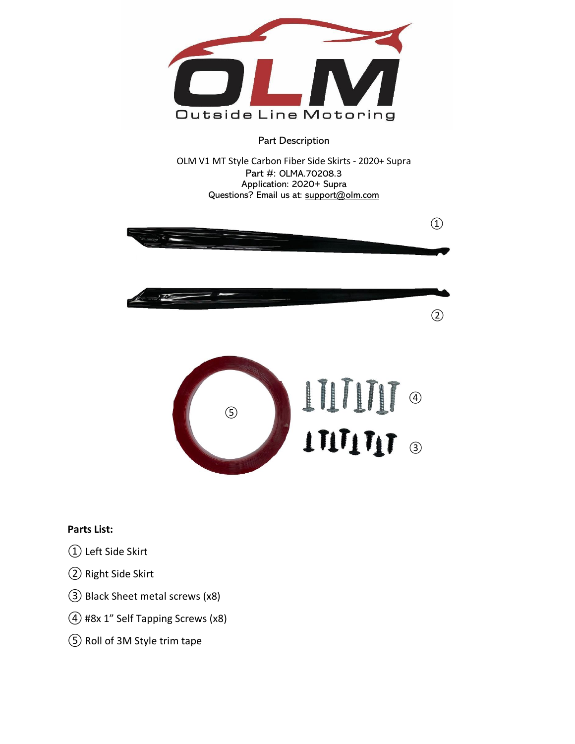

Part Description

OLM V1 MT Style Carbon Fiber Side Skirts - 2020+ Supra Part #: OLMA.70208.3 Application: 2020+ Supra Questions? Email us at: support@olm.com



## **Parts List:**

- ① Left Side Skirt
- ② Right Side Skirt
- ③Black Sheet metal screws (x8)
- ④#8x 1" Self Tapping Screws (x8)
- ⑤ Roll of 3M Style trim tape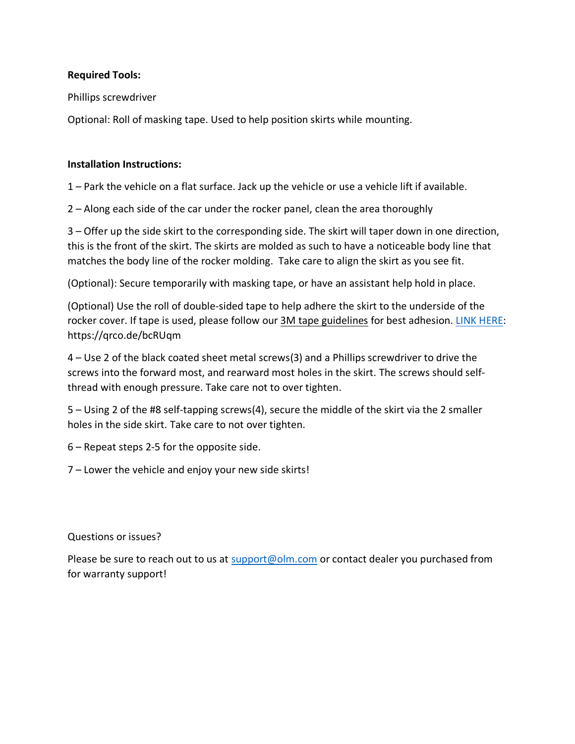## **Required Tools:**

Phillips screwdriver

Optional: Roll of masking tape. Used to help position skirts while mounting.

## **Installation Instructions:**

1 – Park the vehicle on a flat surface. Jack up the vehicle or use a vehicle lift if available.

2 – Along each side of the car under the rocker panel, clean the area thoroughly

3 – Offer up the side skirt to the corresponding side. The skirt will taper down in one direction, this is the front of the skirt. The skirts are molded as such to have a noticeable body line that matches the body line of the rocker molding. Take care to align the skirt as you see fit.

(Optional): Secure temporarily with masking tape, or have an assistant help hold in place.

(Optional) Use the roll of double-sided tape to help adhere the skirt to the underside of the rocker cover. If tape is used, please follow our 3M tape guidelines for best adhesion. [LINK HERE:](https://qrco.de/bcRUqm) https://qrco.de/bcRUqm

4 – Use 2 of the black coated sheet metal screws(3) and a Phillips screwdriver to drive the screws into the forward most, and rearward most holes in the skirt. The screws should selfthread with enough pressure. Take care not to over tighten.

5 – Using 2 of the #8 self-tapping screws(4), secure the middle of the skirt via the 2 smaller holes in the side skirt. Take care to not over tighten.

6 – Repeat steps 2-5 for the opposite side.

7 – Lower the vehicle and enjoy your new side skirts!

Questions or issues?

Please be sure to reach out to us at  $support@olm.com$  or contact dealer you purchased from for warranty support!